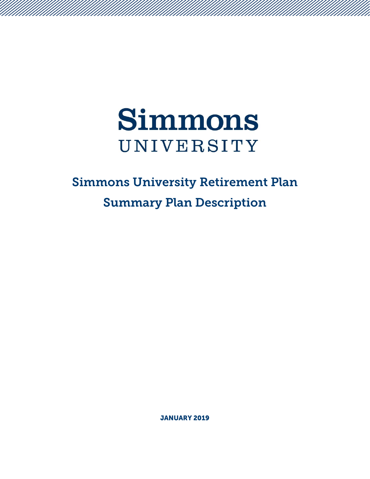

# Simmons University Retirement Plan Summary Plan Description

JANUARY 2019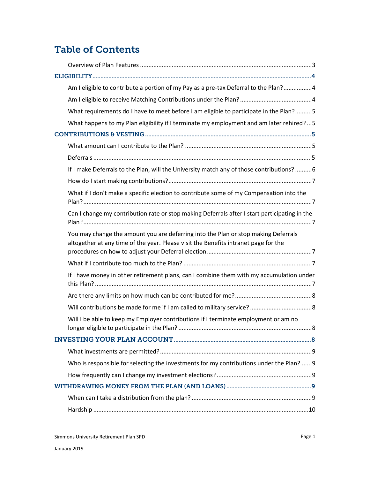# Table of Contents

| Am I eligible to contribute a portion of my Pay as a pre-tax Deferral to the Plan?4                                                                                       |  |
|---------------------------------------------------------------------------------------------------------------------------------------------------------------------------|--|
|                                                                                                                                                                           |  |
| What requirements do I have to meet before I am eligible to participate in the Plan?5                                                                                     |  |
| What happens to my Plan eligibility if I terminate my employment and am later rehired?5                                                                                   |  |
|                                                                                                                                                                           |  |
|                                                                                                                                                                           |  |
|                                                                                                                                                                           |  |
| If I make Deferrals to the Plan, will the University match any of those contributions? 6                                                                                  |  |
|                                                                                                                                                                           |  |
| What if I don't make a specific election to contribute some of my Compensation into the                                                                                   |  |
| Can I change my contribution rate or stop making Deferrals after I start participating in the                                                                             |  |
| You may change the amount you are deferring into the Plan or stop making Deferrals<br>altogether at any time of the year. Please visit the Benefits intranet page for the |  |
|                                                                                                                                                                           |  |
| If I have money in other retirement plans, can I combine them with my accumulation under                                                                                  |  |
|                                                                                                                                                                           |  |
|                                                                                                                                                                           |  |
| Will I be able to keep my Employer contributions if I terminate employment or am no                                                                                       |  |
|                                                                                                                                                                           |  |
|                                                                                                                                                                           |  |
| Who is responsible for selecting the investments for my contributions under the Plan?  9                                                                                  |  |
|                                                                                                                                                                           |  |
|                                                                                                                                                                           |  |
|                                                                                                                                                                           |  |
|                                                                                                                                                                           |  |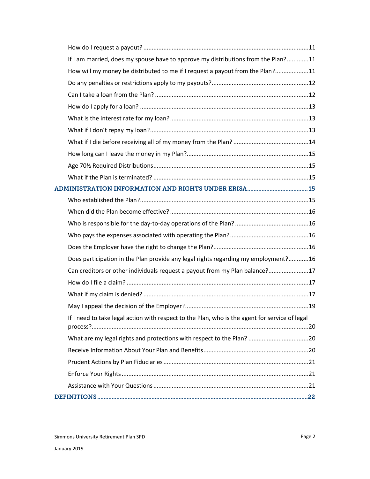| If I am married, does my spouse have to approve my distributions from the Plan?11              |  |
|------------------------------------------------------------------------------------------------|--|
| How will my money be distributed to me if I request a payout from the Plan?11                  |  |
|                                                                                                |  |
|                                                                                                |  |
|                                                                                                |  |
|                                                                                                |  |
|                                                                                                |  |
|                                                                                                |  |
|                                                                                                |  |
|                                                                                                |  |
|                                                                                                |  |
|                                                                                                |  |
|                                                                                                |  |
|                                                                                                |  |
|                                                                                                |  |
|                                                                                                |  |
|                                                                                                |  |
| Does participation in the Plan provide any legal rights regarding my employment?16             |  |
| Can creditors or other individuals request a payout from my Plan balance?17                    |  |
|                                                                                                |  |
|                                                                                                |  |
|                                                                                                |  |
| If I need to take legal action with respect to the Plan, who is the agent for service of legal |  |
|                                                                                                |  |
|                                                                                                |  |
|                                                                                                |  |
|                                                                                                |  |
|                                                                                                |  |
|                                                                                                |  |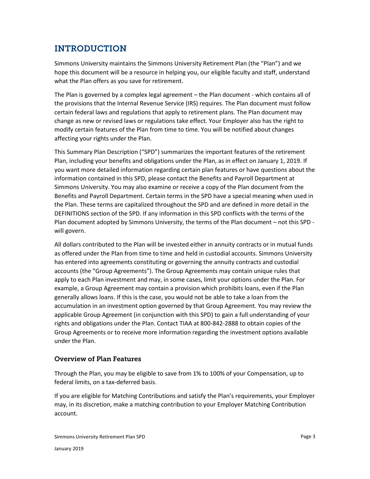# INTRODUCTION

Simmons University maintains the Simmons University Retirement Plan (the "Plan") and we hope this document will be a resource in helping you, our eligible faculty and staff, understand what the Plan offers as you save for retirement.

The Plan is governed by a complex legal agreement – the Plan document - which contains all of the provisions that the Internal Revenue Service (IRS) requires. The Plan document must follow certain federal laws and regulations that apply to retirement plans. The Plan document may change as new or revised laws or regulations take effect. Your Employer also has the right to modify certain features of the Plan from time to time. You will be notified about changes affecting your rights under the Plan.

This Summary Plan Description ("SPD") summarizes the important features of the retirement Plan, including your benefits and obligations under the Plan, as in effect on January 1, 2019. If you want more detailed information regarding certain plan features or have questions about the information contained in this SPD, please contact the Benefits and Payroll Department at Simmons University. You may also examine or receive a copy of the Plan document from the Benefits and Payroll Department. Certain terms in the SPD have a special meaning when used in the Plan. These terms are capitalized throughout the SPD and are defined in more detail in the DEFINITIONS section of the SPD. If any information in this SPD conflicts with the terms of the Plan document adopted by Simmons University, the terms of the Plan document – not this SPD will govern.

All dollars contributed to the Plan will be invested either in annuity contracts or in mutual funds as offered under the Plan from time to time and held in custodial accounts. Simmons University has entered into agreements constituting or governing the annuity contracts and custodial accounts (the "Group Agreements"). The Group Agreements may contain unique rules that apply to each Plan investment and may, in some cases, limit your options under the Plan. For example, a Group Agreement may contain a provision which prohibits loans, even if the Plan generally allows loans. If this is the case, you would not be able to take a loan from the accumulation in an investment option governed by that Group Agreement. You may review the applicable Group Agreement (in conjunction with this SPD) to gain a full understanding of your rights and obligations under the Plan. Contact TIAA at 800-842-2888 to obtain copies of the Group Agreements or to receive more information regarding the investment options available under the Plan.

# <span id="page-3-0"></span>Overview of Plan Features

Through the Plan, you may be eligible to save from 1% to 100% of your Compensation, up to federal limits, on a tax-deferred basis.

If you are eligible for Matching Contributions and satisfy the Plan's requirements, your Employer may, in its discretion, make a matching contribution to your Employer Matching Contribution account.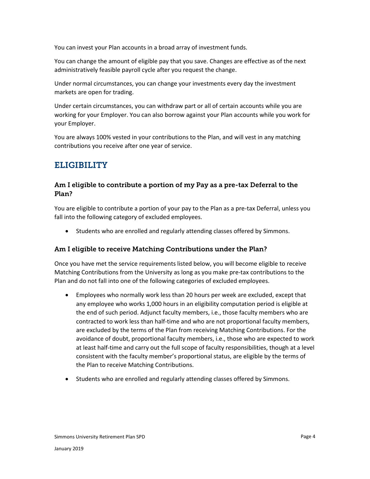You can invest your Plan accounts in a broad array of investment funds.

You can change the amount of eligible pay that you save. Changes are effective as of the next administratively feasible payroll cycle after you request the change.

Under normal circumstances, you can change your investments every day the investment markets are open for trading.

Under certain circumstances, you can withdraw part or all of certain accounts while you are working for your Employer. You can also borrow against your Plan accounts while you work for your Employer.

You are always 100% vested in your contributions to the Plan, and will vest in any matching contributions you receive after one year of service.

# <span id="page-4-0"></span>ELIGIBILITY

# <span id="page-4-1"></span>Am I eligible to contribute a portion of my Pay as a pre-tax Deferral to the Plan?

You are eligible to contribute a portion of your pay to the Plan as a pre-tax Deferral, unless you fall into the following category of excluded employees.

Students who are enrolled and regularly attending classes offered by Simmons.

#### <span id="page-4-2"></span>Am I eligible to receive Matching Contributions under the Plan?

Once you have met the service requirements listed below, you will become eligible to receive Matching Contributions from the University as long as you make pre-tax contributions to the Plan and do not fall into one of the following categories of excluded employees.

- Employees who normally work less than 20 hours per week are excluded, except that any employee who works 1,000 hours in an eligibility computation period is eligible at the end of such period. Adjunct faculty members, i.e., those faculty members who are contracted to work less than half-time and who are not proportional faculty members, are excluded by the terms of the Plan from receiving Matching Contributions. For the avoidance of doubt, proportional faculty members, i.e., those who are expected to work at least half-time and carry out the full scope of faculty responsibilities, though at a level consistent with the faculty member's proportional status, are eligible by the terms of the Plan to receive Matching Contributions.
- Students who are enrolled and regularly attending classes offered by Simmons.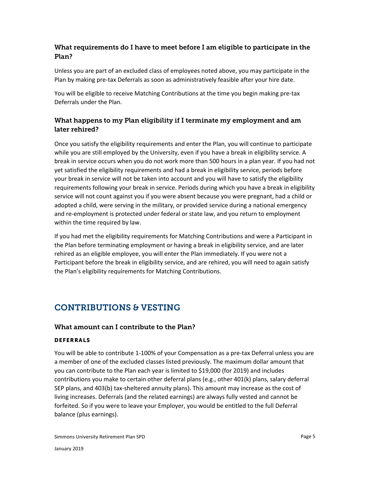# <span id="page-5-0"></span>What requirements do I have to meet before I am eligible to participate in the Plan?

Unless you are part of an excluded class of employees noted above, you may participate in the Plan by making pre-tax Deferrals as soon as administratively feasible after your hire date.

You will be eligible to receive Matching Contributions at the time you begin making pre-tax Deferrals under the Plan.

# <span id="page-5-1"></span>What happens to my Plan eligibility if I terminate my employment and am later rehired?

Once you satisfy the eligibility requirements and enter the Plan, you will continue to participate while you are still employed by the University, even if you have a break in eligibility service. A break in service occurs when you do not work more than 500 hours in a plan year. If you had not yet satisfied the eligibility requirements and had a break in eligibility service, periods before your break in service will not be taken into account and you will have to satisfy the eligibility requirements following your break in service. Periods during which you have a break in eligibility service will not count against you if you were absent because you were pregnant, had a child or adopted a child, were serving in the military, or provided service during a national emergency and re-employment is protected under federal or state law, and you return to employment within the time required by law.

If you had met the eligibility requirements for Matching Contributions and were a Participant in the Plan before terminating employment or having a break in eligibility service, and are later rehired as an eligible employee, you will enter the Plan immediately. If you were not a Participant before the break in eligibility service, and are rehired, you will need to again satisfy the Plan's eligibility requirements for Matching Contributions.

# <span id="page-5-2"></span>CONTRIBUTIONS & VESTING

# <span id="page-5-3"></span>What amount can I contribute to the Plan?

#### <span id="page-5-4"></span>**DEFERRALS**

You will be able to contribute 1-100% of your Compensation as a pre-tax Deferral unless you are a member of one of the excluded classes listed previously. The maximum dollar amount that you can contribute to the Plan each year is limited to \$19,000 (for 2019) and includes contributions you make to certain other deferral plans (e.g., other 401(k) plans, salary deferral SEP plans, and 403(b) tax-sheltered annuity plans). This amount may increase as the cost of living increases. Deferrals (and the related earnings) are always fully vested and cannot be forfeited. So if you were to leave your Employer, you would be entitled to the full Deferral balance (plus earnings).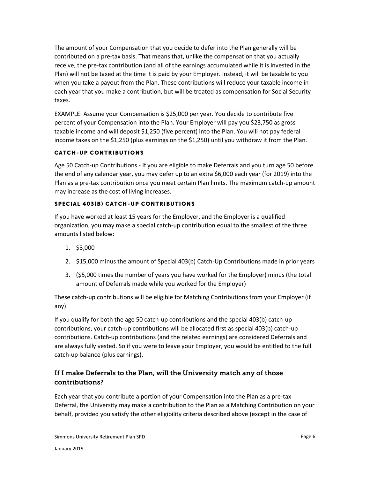The amount of your Compensation that you decide to defer into the Plan generally will be contributed on a pre-tax basis. That means that, unlike the compensation that you actually receive, the pre-tax contribution (and all of the earnings accumulated while it is invested in the Plan) will not be taxed at the time it is paid by your Employer. Instead, it will be taxable to you when you take a payout from the Plan. These contributions will reduce your taxable income in each year that you make a contribution, but will be treated as compensation for Social Security taxes.

EXAMPLE: Assume your Compensation is \$25,000 per year. You decide to contribute five percent of your Compensation into the Plan. Your Employer will pay you \$23,750 as gross taxable income and will deposit \$1,250 (five percent) into the Plan. You will not pay federal income taxes on the \$1,250 (plus earnings on the \$1,250) until you withdraw it from the Plan.

#### **CATCH-UP CONTRIBUTIONS**

Age 50 Catch-up Contributions - If you are eligible to make Deferrals and you turn age 50 before the end of any calendar year, you may defer up to an extra \$6,000 each year (for 2019) into the Plan as a pre-tax contribution once you meet certain Plan limits. The maximum catch-up amount may increase as the cost of living increases.

#### SPECIAL 403(B) CATCH-UP CONTRIBUTIONS

If you have worked at least 15 years for the Employer, and the Employer is a qualified organization, you may make a special catch-up contribution equal to the smallest of the three amounts listed below:

- 1. \$3,000
- 2. \$15,000 minus the amount of Special 403(b) Catch-Up Contributions made in prior years
- 3. (\$5,000 times the number of years you have worked for the Employer) minus (the total amount of Deferrals made while you worked for the Employer)

These catch-up contributions will be eligible for Matching Contributions from your Employer (if any).

If you qualify for both the age 50 catch-up contributions and the special 403(b) catch-up contributions, your catch-up contributions will be allocated first as special 403(b) catch-up contributions. Catch-up contributions (and the related earnings) are considered Deferrals and are always fully vested. So if you were to leave your Employer, you would be entitled to the full catch-up balance (plus earnings).

# <span id="page-6-0"></span>If I make Deferrals to the Plan, will the University match any of those contributions?

Each year that you contribute a portion of your Compensation into the Plan as a pre-tax Deferral, the University may make a contribution to the Plan as a Matching Contribution on your behalf, provided you satisfy the other eligibility criteria described above (except in the case of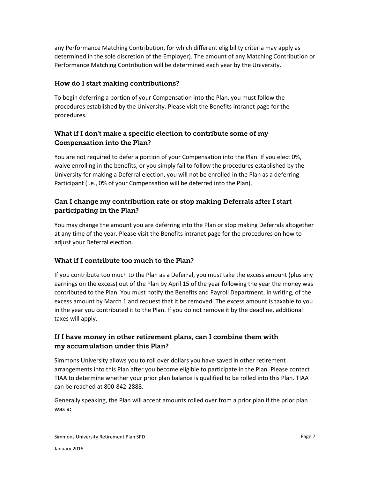any Performance Matching Contribution, for which different eligibility criteria may apply as determined in the sole discretion of the Employer). The amount of any Matching Contribution or Performance Matching Contribution will be determined each year by the University.

# <span id="page-7-0"></span>How do I start making contributions?

To begin deferring a portion of your Compensation into the Plan, you must follow the procedures established by the University. Please visit the Benefits intranet page for the procedures.

# <span id="page-7-1"></span>What if I don't make a specific election to contribute some of my Compensation into the Plan?

You are not required to defer a portion of your Compensation into the Plan. If you elect 0%, waive enrolling in the benefits, or you simply fail to follow the procedures established by the University for making a Deferral election, you will not be enrolled in the Plan as a deferring Participant (i.e., 0% of your Compensation will be deferred into the Plan).

# <span id="page-7-2"></span>Can I change my contribution rate or stop making Deferrals after I start participating in the Plan?

<span id="page-7-3"></span>You may change the amount you are deferring into the Plan or stop making Deferrals altogether at any time of the year. Please visit the Benefits intranet page for the procedures on how to adjust your Deferral election.

# <span id="page-7-4"></span>What if I contribute too much to the Plan?

If you contribute too much to the Plan as a Deferral, you must take the excess amount (plus any earnings on the excess) out of the Plan by April 15 of the year following the year the money was contributed to the Plan. You must notify the Benefits and Payroll Department, in writing, of the excess amount by March 1 and request that it be removed. The excess amount is taxable to you in the year you contributed it to the Plan. If you do not remove it by the deadline, additional taxes will apply.

# <span id="page-7-5"></span>If I have money in other retirement plans, can I combine them with my accumulation under this Plan?

Simmons University allows you to roll over dollars you have saved in other retirement arrangements into this Plan after you become eligible to participate in the Plan. Please contact TIAA to determine whether your prior plan balance is qualified to be rolled into this Plan. TIAA can be reached at 800-842-2888.

Generally speaking, the Plan will accept amounts rolled over from a prior plan if the prior plan was a: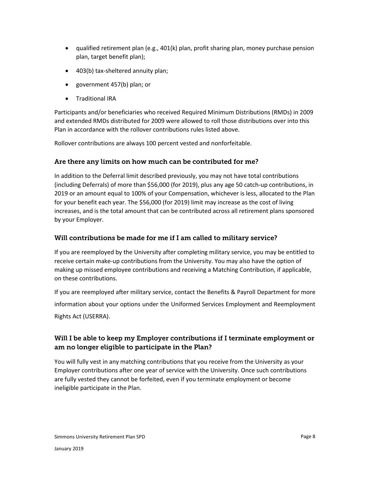- qualified retirement plan (e.g., 401(k) plan, profit sharing plan, money purchase pension plan, target benefit plan);
- 403(b) tax-sheltered annuity plan;
- government 457(b) plan; or
- **•** Traditional IRA

Participants and/or beneficiaries who received Required Minimum Distributions (RMDs) in 2009 and extended RMDs distributed for 2009 were allowed to roll those distributions over into this Plan in accordance with the rollover contributions rules listed above.

Rollover contributions are always 100 percent vested and nonforfeitable.

## <span id="page-8-0"></span>Are there any limits on how much can be contributed for me?

In addition to the Deferral limit described previously, you may not have total contributions (including Deferrals) of more than \$56,000 (for 2019), plus any age 50 catch-up contributions, in 2019 or an amount equal to 100% of your Compensation, whichever is less, allocated to the Plan for your benefit each year. The \$56,000 (for 2019) limit may increase as the cost of living increases, and is the total amount that can be contributed across all retirement plans sponsored by your Employer.

## <span id="page-8-1"></span>Will contributions be made for me if I am called to military service?

If you are reemployed by the University after completing military service, you may be entitled to receive certain make-up contributions from the University. You may also have the option of making up missed employee contributions and receiving a Matching Contribution, if applicable, on these contributions.

If you are reemployed after military service, contact the Benefits & Payroll Department for more information about your options under the Uniformed Services Employment and Reemployment Rights Act (USERRA).

# <span id="page-8-2"></span>Will I be able to keep my Employer contributions if I terminate employment or am no longer eligible to participate in the Plan?

<span id="page-8-3"></span>You will fully vest in any matching contributions that you receive from the University as your Employer contributions after one year of service with the University. Once such contributions are fully vested they cannot be forfeited, even if you terminate employment or become ineligible participate in the Plan.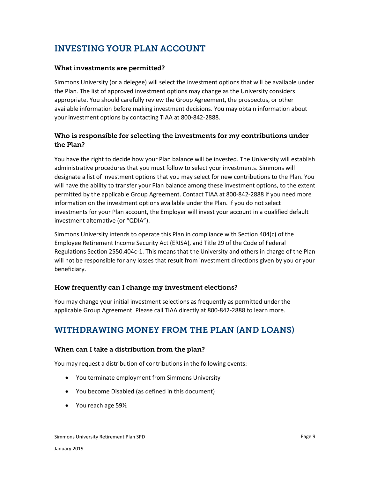# INVESTING YOUR PLAN ACCOUNT

#### <span id="page-9-0"></span>What investments are permitted?

Simmons University (or a delegee) will select the investment options that will be available under the Plan. The list of approved investment options may change as the University considers appropriate. You should carefully review the Group Agreement, the prospectus, or other available information before making investment decisions. You may obtain information about your investment options by contacting TIAA at 800-842-2888.

# <span id="page-9-1"></span>Who is responsible for selecting the investments for my contributions under the Plan?

You have the right to decide how your Plan balance will be invested. The University will establish administrative procedures that you must follow to select your investments. Simmons will designate a list of investment options that you may select for new contributions to the Plan. You will have the ability to transfer your Plan balance among these investment options, to the extent permitted by the applicable Group Agreement. Contact TIAA at 800-842-2888 if you need more information on the investment options available under the Plan. If you do not select investments for your Plan account, the Employer will invest your account in a qualified default investment alternative (or "QDIA").

Simmons University intends to operate this Plan in compliance with Section 404(c) of the Employee Retirement Income Security Act (ERISA), and Title 29 of the Code of Federal Regulations Section 2550.404c-1. This means that the University and others in charge of the Plan will not be responsible for any losses that result from investment directions given by you or your beneficiary.

#### <span id="page-9-2"></span>How frequently can I change my investment elections?

You may change your initial investment selections as frequently as permitted under the applicable Group Agreement. Please call TIAA directly at 800-842-2888 to learn more.

# <span id="page-9-3"></span>WITHDRAWING MONEY FROM THE PLAN (AND LOANS)

#### <span id="page-9-4"></span>When can I take a distribution from the plan?

You may request a distribution of contributions in the following events:

- You terminate employment from Simmons University
- You become Disabled (as defined in this document)
- You reach age 59<sup>1/2</sup>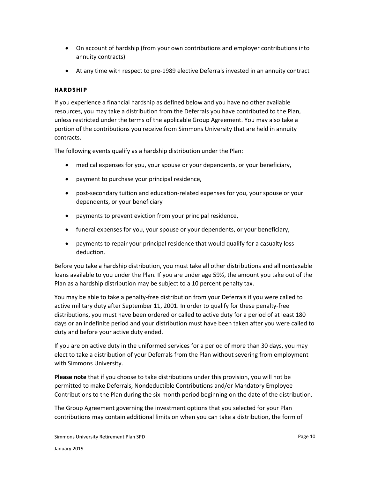- On account of hardship (from your own contributions and employer contributions into annuity contracts)
- At any time with respect to pre-1989 elective Deferrals invested in an annuity contract

#### <span id="page-10-0"></span>HARDSHIP

If you experience a financial hardship as defined below and you have no other available resources, you may take a distribution from the Deferrals you have contributed to the Plan, unless restricted under the terms of the applicable Group Agreement. You may also take a portion of the contributions you receive from Simmons University that are held in annuity contracts.

The following events qualify as a hardship distribution under the Plan:

- medical expenses for you, your spouse or your dependents, or your beneficiary,
- payment to purchase your principal residence,
- post-secondary tuition and education-related expenses for you, your spouse or your dependents, or your beneficiary
- payments to prevent eviction from your principal residence,
- funeral expenses for you, your spouse or your dependents, or your beneficiary,
- payments to repair your principal residence that would qualify for a casualty loss deduction.

Before you take a hardship distribution, you must take all other distributions and all nontaxable loans available to you under the Plan. If you are under age 59½, the amount you take out of the Plan as a hardship distribution may be subject to a 10 percent penalty tax.

You may be able to take a penalty-free distribution from your Deferrals if you were called to active military duty after September 11, 2001. In order to qualify for these penalty-free distributions, you must have been ordered or called to active duty for a period of at least 180 days or an indefinite period and your distribution must have been taken after you were called to duty and before your active duty ended.

If you are on active duty in the uniformed services for a period of more than 30 days, you may elect to take a distribution of your Deferrals from the Plan without severing from employment with Simmons University.

**Please note** that if you choose to take distributions under this provision, you will not be permitted to make Deferrals, Nondeductible Contributions and/or Mandatory Employee Contributions to the Plan during the six-month period beginning on the date of the distribution.

The Group Agreement governing the investment options that you selected for your Plan contributions may contain additional limits on when you can take a distribution, the form of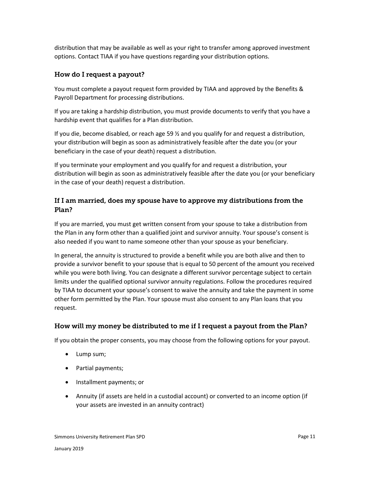distribution that may be available as well as your right to transfer among approved investment options. Contact TIAA if you have questions regarding your distribution options.

# <span id="page-11-0"></span>How do I request a payout?

You must complete a payout request form provided by TIAA and approved by the Benefits & Payroll Department for processing distributions.

If you are taking a hardship distribution, you must provide documents to verify that you have a hardship event that qualifies for a Plan distribution.

If you die, become disabled, or reach age 59 ½ and you qualify for and request a distribution, your distribution will begin as soon as administratively feasible after the date you (or your beneficiary in the case of your death) request a distribution.

If you terminate your employment and you qualify for and request a distribution, your distribution will begin as soon as administratively feasible after the date you (or your beneficiary in the case of your death) request a distribution.

# <span id="page-11-1"></span>If I am married, does my spouse have to approve my distributions from the Plan?

If you are married, you must get written consent from your spouse to take a distribution from the Plan in any form other than a qualified joint and survivor annuity. Your spouse's consent is also needed if you want to name someone other than your spouse as your beneficiary.

In general, the annuity is structured to provide a benefit while you are both alive and then to provide a survivor benefit to your spouse that is equal to 50 percent of the amount you received while you were both living. You can designate a different survivor percentage subject to certain limits under the qualified optional survivor annuity regulations. Follow the procedures required by TIAA to document your spouse's consent to waive the annuity and take the payment in some other form permitted by the Plan. Your spouse must also consent to any Plan loans that you request.

# <span id="page-11-2"></span>How will my money be distributed to me if I request a payout from the Plan?

If you obtain the proper consents, you may choose from the following options for your payout.

- Lump sum;
- Partial payments;
- Installment payments; or
- Annuity (if assets are held in a custodial account) or converted to an income option (if your assets are invested in an annuity contract)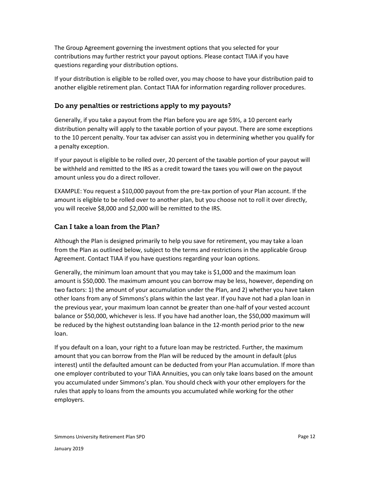The Group Agreement governing the investment options that you selected for your contributions may further restrict your payout options. Please contact TIAA if you have questions regarding your distribution options.

If your distribution is eligible to be rolled over, you may choose to have your distribution paid to another eligible retirement plan. Contact TIAA for information regarding rollover procedures.

#### <span id="page-12-0"></span>Do any penalties or restrictions apply to my payouts?

Generally, if you take a payout from the Plan before you are age 59½, a 10 percent early distribution penalty will apply to the taxable portion of your payout. There are some exceptions to the 10 percent penalty. Your tax adviser can assist you in determining whether you qualify for a penalty exception.

If your payout is eligible to be rolled over, 20 percent of the taxable portion of your payout will be withheld and remitted to the IRS as a credit toward the taxes you will owe on the payout amount unless you do a direct rollover.

EXAMPLE: You request a \$10,000 payout from the pre-tax portion of your Plan account. If the amount is eligible to be rolled over to another plan, but you choose not to roll it over directly, you will receive \$8,000 and \$2,000 will be remitted to the IRS.

#### <span id="page-12-1"></span>Can I take a loan from the Plan?

Although the Plan is designed primarily to help you save for retirement, you may take a loan from the Plan as outlined below, subject to the terms and restrictions in the applicable Group Agreement. Contact TIAA if you have questions regarding your loan options.

Generally, the minimum loan amount that you may take is \$1,000 and the maximum loan amount is \$50,000. The maximum amount you can borrow may be less, however, depending on two factors: 1) the amount of your accumulation under the Plan, and 2) whether you have taken other loans from any of Simmons's plans within the last year. If you have not had a plan loan in the previous year, your maximum loan cannot be greater than one-half of your vested account balance or \$50,000, whichever is less. If you have had another loan, the \$50,000 maximum will be reduced by the highest outstanding loan balance in the 12-month period prior to the new loan.

If you default on a loan, your right to a future loan may be restricted. Further, the maximum amount that you can borrow from the Plan will be reduced by the amount in default (plus interest) until the defaulted amount can be deducted from your Plan accumulation. If more than one employer contributed to your TIAA Annuities, you can only take loans based on the amount you accumulated under Simmons's plan. You should check with your other employers for the rules that apply to loans from the amounts you accumulated while working for the other employers.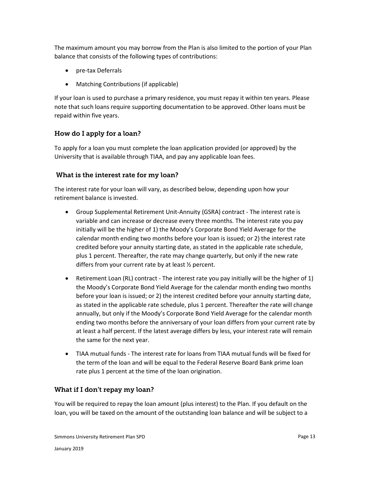The maximum amount you may borrow from the Plan is also limited to the portion of your Plan balance that consists of the following types of contributions:

- pre-tax Deferrals
- Matching Contributions (if applicable)

If your loan is used to purchase a primary residence, you must repay it within ten years. Please note that such loans require supporting documentation to be approved. Other loans must be repaid within five years.

## <span id="page-13-0"></span>How do I apply for a loan?

To apply for a loan you must complete the loan application provided (or approved) by the University that is available through TIAA, and pay any applicable loan fees.

#### <span id="page-13-1"></span>What is the interest rate for my loan?

The interest rate for your loan will vary, as described below, depending upon how your retirement balance is invested.

- Group Supplemental Retirement Unit-Annuity (GSRA) contract The interest rate is variable and can increase or decrease every three months. The interest rate you pay initially will be the higher of 1) the Moody's Corporate Bond Yield Average for the calendar month ending two months before your loan is issued; or 2) the interest rate credited before your annuity starting date, as stated in the applicable rate schedule, plus 1 percent. Thereafter, the rate may change quarterly, but only if the new rate differs from your current rate by at least ½ percent.
- Retirement Loan (RL) contract The interest rate you pay initially will be the higher of 1) the Moody's Corporate Bond Yield Average for the calendar month ending two months before your loan is issued; or 2) the interest credited before your annuity starting date, as stated in the applicable rate schedule, plus 1 percent. Thereafter the rate will change annually, but only if the Moody's Corporate Bond Yield Average for the calendar month ending two months before the anniversary of your loan differs from your current rate by at least a half percent. If the latest average differs by less, your interest rate will remain the same for the next year.
- TIAA mutual funds The interest rate for loans from TIAA mutual funds will be fixed for the term of the loan and will be equal to the Federal Reserve Board Bank prime loan rate plus 1 percent at the time of the loan origination.

# <span id="page-13-2"></span>What if I don't repay my loan?

You will be required to repay the loan amount (plus interest) to the Plan. If you default on the loan, you will be taxed on the amount of the outstanding loan balance and will be subject to a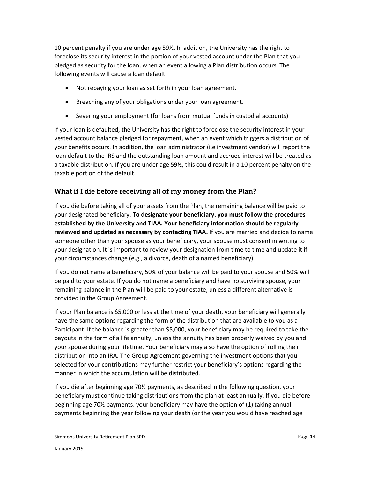10 percent penalty if you are under age 59½. In addition, the University has the right to foreclose its security interest in the portion of your vested account under the Plan that you pledged as security for the loan, when an event allowing a Plan distribution occurs. The following events will cause a loan default:

- Not repaying your loan as set forth in your loan agreement.
- Breaching any of your obligations under your loan agreement.
- Severing your employment (for loans from mutual funds in custodial accounts)

If your loan is defaulted, the University has the right to foreclose the security interest in your vested account balance pledged for repayment, when an event which triggers a distribution of your benefits occurs. In addition, the loan administrator (i.e investment vendor) will report the loan default to the IRS and the outstanding loan amount and accrued interest will be treated as a taxable distribution. If you are under age 59½, this could result in a 10 percent penalty on the taxable portion of the default.

## <span id="page-14-0"></span>What if I die before receiving all of my money from the Plan?

If you die before taking all of your assets from the Plan, the remaining balance will be paid to your designated beneficiary. **To designate your beneficiary, you must follow the procedures established by the University and TIAA. Your beneficiary information should be regularly reviewed and updated as necessary by contacting TIAA.** If you are married and decide to name someone other than your spouse as your beneficiary, your spouse must consent in writing to your designation. It is important to review your designation from time to time and update it if your circumstances change (e.g., a divorce, death of a named beneficiary).

If you do not name a beneficiary, 50% of your balance will be paid to your spouse and 50% will be paid to your estate. If you do not name a beneficiary and have no surviving spouse, your remaining balance in the Plan will be paid to your estate, unless a different alternative is provided in the Group Agreement.

If your Plan balance is \$5,000 or less at the time of your death, your beneficiary will generally have the same options regarding the form of the distribution that are available to you as a Participant. If the balance is greater than \$5,000, your beneficiary may be required to take the payouts in the form of a life annuity, unless the annuity has been properly waived by you and your spouse during your lifetime. Your beneficiary may also have the option of rolling their distribution into an IRA. The Group Agreement governing the investment options that you selected for your contributions may further restrict your beneficiary's options regarding the manner in which the accumulation will be distributed.

If you die after beginning age 70½ payments, as described in the following question, your beneficiary must continue taking distributions from the plan at least annually. If you die before beginning age 70½ payments, your beneficiary may have the option of (1) taking annual payments beginning the year following your death (or the year you would have reached age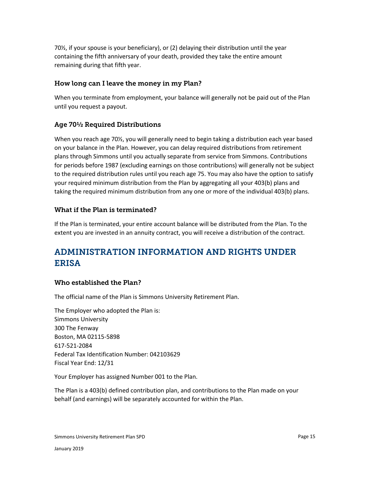70½, if your spouse is your beneficiary), or (2) delaying their distribution until the year containing the fifth anniversary of your death, provided they take the entire amount remaining during that fifth year.

## <span id="page-15-0"></span>How long can I leave the money in my Plan?

When you terminate from employment, your balance will generally not be paid out of the Plan until you request a payout.

# <span id="page-15-1"></span>Age 70½ Required Distributions

When you reach age 70½, you will generally need to begin taking a distribution each year based on your balance in the Plan. However, you can delay required distributions from retirement plans through Simmons until you actually separate from service from Simmons. Contributions for periods before 1987 (excluding earnings on those contributions) will generally not be subject to the required distribution rules until you reach age 75. You may also have the option to satisfy your required minimum distribution from the Plan by aggregating all your 403(b) plans and taking the required minimum distribution from any one or more of the individual 403(b) plans.

## <span id="page-15-2"></span>What if the Plan is terminated?

If the Plan is terminated, your entire account balance will be distributed from the Plan. To the extent you are invested in an annuity contract, you will receive a distribution of the contract.

# <span id="page-15-3"></span>ADMINISTRATION INFORMATION AND RIGHTS UNDER ERISA

#### <span id="page-15-4"></span>Who established the Plan?

The official name of the Plan is Simmons University Retirement Plan.

The Employer who adopted the Plan is: Simmons University 300 The Fenway Boston, MA 02115-5898 617-521-2084 Federal Tax Identification Number: 042103629 Fiscal Year End: 12/31

Your Employer has assigned Number 001 to the Plan.

The Plan is a 403(b) defined contribution plan, and contributions to the Plan made on your behalf (and earnings) will be separately accounted for within the Plan.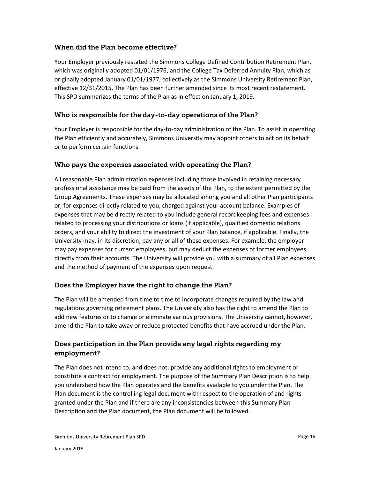#### <span id="page-16-0"></span>When did the Plan become effective?

Your Employer previously restated the Simmons College Defined Contribution Retirement Plan, which was originally adopted 01/01/1976, and the College Tax Deferred Annuity Plan, which as originally adopted January 01/01/1977, collectively as the Simmons University Retirement Plan, effective 12/31/2015. The Plan has been further amended since its most recent restatement. This SPD summarizes the terms of the Plan as in effect on January 1, 2019.

#### <span id="page-16-1"></span>Who is responsible for the day-to-day operations of the Plan?

Your Employer is responsible for the day-to-day administration of the Plan. To assist in operating the Plan efficiently and accurately, Simmons University may appoint others to act on its behalf or to perform certain functions.

#### <span id="page-16-2"></span>Who pays the expenses associated with operating the Plan?

All reasonable Plan administration expenses including those involved in retaining necessary professional assistance may be paid from the assets of the Plan, to the extent permitted by the Group Agreements. These expenses may be allocated among you and all other Plan participants or, for expenses directly related to you, charged against your account balance. Examples of expenses that may be directly related to you include general recordkeeping fees and expenses related to processing your distributions or loans (if applicable), qualified domestic relations orders, and your ability to direct the investment of your Plan balance, if applicable. Finally, the University may, in its discretion, pay any or all of these expenses. For example, the employer may pay expenses for current employees, but may deduct the expenses of former employees directly from their accounts. The University will provide you with a summary of all Plan expenses and the method of payment of the expenses upon request.

#### <span id="page-16-3"></span>Does the Employer have the right to change the Plan?

The Plan will be amended from time to time to incorporate changes required by the law and regulations governing retirement plans. The University also has the right to amend the Plan to add new features or to change or eliminate various provisions. The University cannot, however, amend the Plan to take away or reduce protected benefits that have accrued under the Plan.

# <span id="page-16-4"></span>Does participation in the Plan provide any legal rights regarding my employment?

The Plan does not intend to, and does not, provide any additional rights to employment or constitute a contract for employment. The purpose of the Summary Plan Description is to help you understand how the Plan operates and the benefits available to you under the Plan. The Plan document is the controlling legal document with respect to the operation of and rights granted under the Plan and if there are any inconsistencies between this Summary Plan Description and the Plan document, the Plan document will be followed.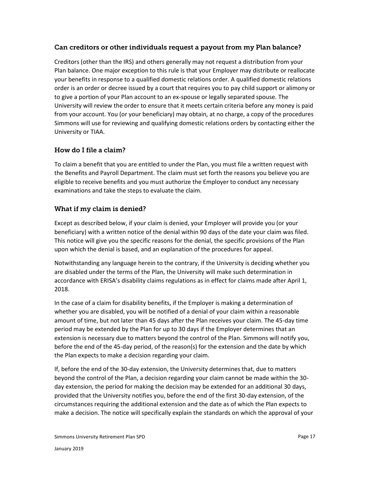#### <span id="page-17-0"></span>Can creditors or other individuals request a payout from my Plan balance?

Creditors (other than the IRS) and others generally may not request a distribution from your Plan balance. One major exception to this rule is that your Employer may distribute or reallocate your benefits in response to a qualified domestic relations order. A qualified domestic relations order is an order or decree issued by a court that requires you to pay child support or alimony or to give a portion of your Plan account to an ex-spouse or legally separated spouse. The University will review the order to ensure that it meets certain criteria before any money is paid from your account. You (or your beneficiary) may obtain, at no charge, a copy of the procedures Simmons will use for reviewing and qualifying domestic relations orders by contacting either the University or TIAA.

#### <span id="page-17-1"></span>How do I file a claim?

To claim a benefit that you are entitled to under the Plan, you must file a written request with the Benefits and Payroll Department. The claim must set forth the reasons you believe you are eligible to receive benefits and you must authorize the Employer to conduct any necessary examinations and take the steps to evaluate the claim.

## <span id="page-17-2"></span>What if my claim is denied?

Except as described below, if your claim is denied, your Employer will provide you (or your beneficiary) with a written notice of the denial within 90 days of the date your claim was filed. This notice will give you the specific reasons for the denial, the specific provisions of the Plan upon which the denial is based, and an explanation of the procedures for appeal.

Notwithstanding any language herein to the contrary, if the University is deciding whether you are disabled under the terms of the Plan, the University will make such determination in accordance with ERISA's disability claims regulations as in effect for claims made after April 1, 2018.

In the case of a claim for disability benefits, if the Employer is making a determination of whether you are disabled, you will be notified of a denial of your claim within a reasonable amount of time, but not later than 45 days after the Plan receives your claim. The 45-day time period may be extended by the Plan for up to 30 days if the Employer determines that an extension is necessary due to matters beyond the control of the Plan. Simmons will notify you, before the end of the 45-day period, of the reason(s) for the extension and the date by which the Plan expects to make a decision regarding your claim.

If, before the end of the 30-day extension, the University determines that, due to matters beyond the control of the Plan, a decision regarding your claim cannot be made within the 30 day extension, the period for making the decision may be extended for an additional 30 days, provided that the University notifies you, before the end of the first 30-day extension, of the circumstances requiring the additional extension and the date as of which the Plan expects to make a decision. The notice will specifically explain the standards on which the approval of your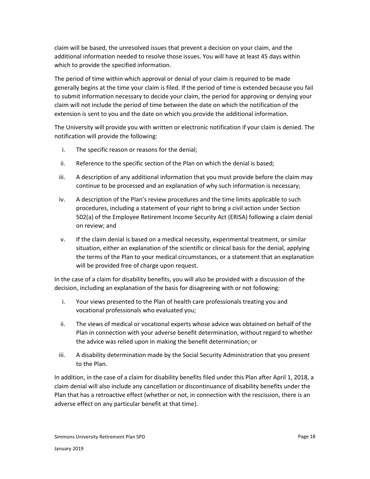claim will be based, the unresolved issues that prevent a decision on your claim, and the additional information needed to resolve those issues. You will have at least 45 days within which to provide the specified information.

The period of time within which approval or denial of your claim is required to be made generally begins at the time your claim is filed. If the period of time is extended because you fail to submit information necessary to decide your claim, the period for approving or denying your claim will not include the period of time between the date on which the notification of the extension is sent to you and the date on which you provide the additional information.

The University will provide you with written or electronic notification if your claim is denied. The notification will provide the following:

- i. The specific reason or reasons for the denial;
- ii. Reference to the specific section of the Plan on which the denial is based;
- iii. A description of any additional information that you must provide before the claim may continue to be processed and an explanation of why such information is necessary;
- iv. A description of the Plan's review procedures and the time limits applicable to such procedures, including a statement of your right to bring a civil action under Section 502(a) of the Employee Retirement Income Security Act (ERISA) following a claim denial on review; and
- v. If the claim denial is based on a medical necessity, experimental treatment, or similar situation, either an explanation of the scientific or clinical basis for the denial, applying the terms of the Plan to your medical circumstances, or a statement that an explanation will be provided free of charge upon request.

In the case of a claim for disability benefits, you will also be provided with a discussion of the decision, including an explanation of the basis for disagreeing with or not following:

- i. Your views presented to the Plan of health care professionals treating you and vocational professionals who evaluated you;
- ii. The views of medical or vocational experts whose advice was obtained on behalf of the Plan in connection with your adverse benefit determination, without regard to whether the advice was relied upon in making the benefit determination; or
- iii. A disability determination made by the Social Security Administration that you present to the Plan.

In addition, in the case of a claim for disability benefits filed under this Plan after April 1, 2018, a claim denial will also include any cancellation or discontinuance of disability benefits under the Plan that has a retroactive effect (whether or not, in connection with the rescission, there is an adverse effect on any particular benefit at that time).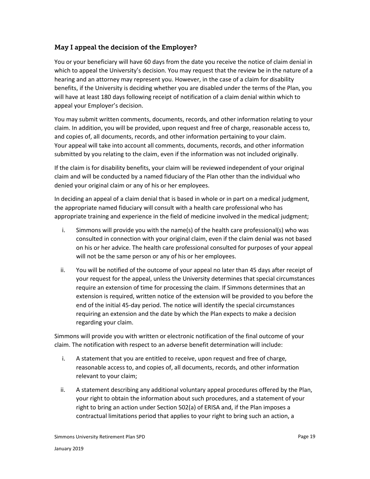## <span id="page-19-0"></span>May I appeal the decision of the Employer?

You or your beneficiary will have 60 days from the date you receive the notice of claim denial in which to appeal the University's decision. You may request that the review be in the nature of a hearing and an attorney may represent you. However, in the case of a claim for disability benefits, if the University is deciding whether you are disabled under the terms of the Plan, you will have at least 180 days following receipt of notification of a claim denial within which to appeal your Employer's decision.

You may submit written comments, documents, records, and other information relating to your claim. In addition, you will be provided, upon request and free of charge, reasonable access to, and copies of, all documents, records, and other information pertaining to your claim. Your appeal will take into account all comments, documents, records, and other information submitted by you relating to the claim, even if the information was not included originally.

If the claim is for disability benefits, your claim will be reviewed independent of your original claim and will be conducted by a named fiduciary of the Plan other than the individual who denied your original claim or any of his or her employees.

In deciding an appeal of a claim denial that is based in whole or in part on a medical judgment, the appropriate named fiduciary will consult with a health care professional who has appropriate training and experience in the field of medicine involved in the medical judgment;

- i. Simmons will provide you with the name(s) of the health care professional(s) who was consulted in connection with your original claim, even if the claim denial was not based on his or her advice. The health care professional consulted for purposes of your appeal will not be the same person or any of his or her employees.
- ii. You will be notified of the outcome of your appeal no later than 45 days after receipt of your request for the appeal, unless the University determines that special circumstances require an extension of time for processing the claim. If Simmons determines that an extension is required, written notice of the extension will be provided to you before the end of the initial 45-day period. The notice will identify the special circumstances requiring an extension and the date by which the Plan expects to make a decision regarding your claim.

Simmons will provide you with written or electronic notification of the final outcome of your claim. The notification with respect to an adverse benefit determination will include:

- i. A statement that you are entitled to receive, upon request and free of charge, reasonable access to, and copies of, all documents, records, and other information relevant to your claim;
- ii. A statement describing any additional voluntary appeal procedures offered by the Plan, your right to obtain the information about such procedures, and a statement of your right to bring an action under Section 502(a) of ERISA and, if the Plan imposes a contractual limitations period that applies to your right to bring such an action, a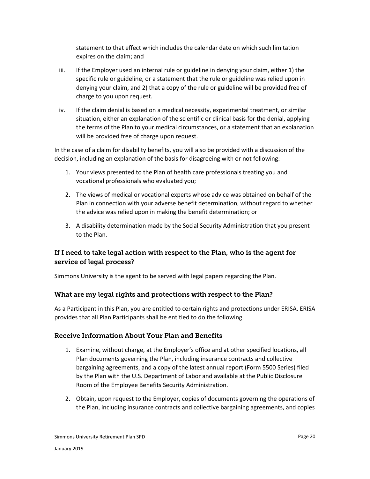statement to that effect which includes the calendar date on which such limitation expires on the claim; and

- iii. If the Employer used an internal rule or guideline in denying your claim, either 1) the specific rule or guideline, or a statement that the rule or guideline was relied upon in denying your claim, and 2) that a copy of the rule or guideline will be provided free of charge to you upon request.
- iv. If the claim denial is based on a medical necessity, experimental treatment, or similar situation, either an explanation of the scientific or clinical basis for the denial, applying the terms of the Plan to your medical circumstances, or a statement that an explanation will be provided free of charge upon request.

In the case of a claim for disability benefits, you will also be provided with a discussion of the decision, including an explanation of the basis for disagreeing with or not following:

- 1. Your views presented to the Plan of health care professionals treating you and vocational professionals who evaluated you;
- 2. The views of medical or vocational experts whose advice was obtained on behalf of the Plan in connection with your adverse benefit determination, without regard to whether the advice was relied upon in making the benefit determination; or
- 3. A disability determination made by the Social Security Administration that you present to the Plan.

# <span id="page-20-0"></span>If I need to take legal action with respect to the Plan, who is the agent for service of legal process?

Simmons University is the agent to be served with legal papers regarding the Plan.

# <span id="page-20-1"></span>What are my legal rights and protections with respect to the Plan?

As a Participant in this Plan, you are entitled to certain rights and protections under ERISA. ERISA provides that all Plan Participants shall be entitled to do the following.

#### <span id="page-20-2"></span>Receive Information About Your Plan and Benefits

- 1. Examine, without charge, at the Employer's office and at other specified locations, all Plan documents governing the Plan, including insurance contracts and collective bargaining agreements, and a copy of the latest annual report (Form 5500 Series) filed by the Plan with the U.S. Department of Labor and available at the Public Disclosure Room of the Employee Benefits Security Administration.
- 2. Obtain, upon request to the Employer, copies of documents governing the operations of the Plan, including insurance contracts and collective bargaining agreements, and copies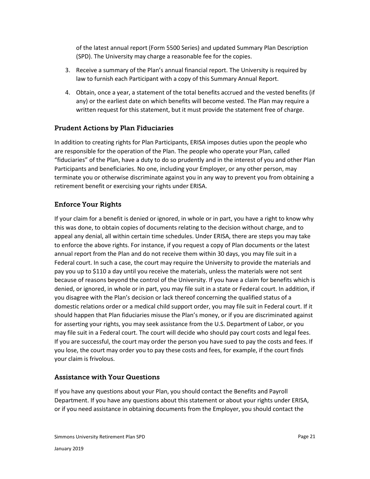of the latest annual report (Form 5500 Series) and updated Summary Plan Description (SPD). The University may charge a reasonable fee for the copies.

- 3. Receive a summary of the Plan's annual financial report. The University is required by law to furnish each Participant with a copy of this Summary Annual Report.
- 4. Obtain, once a year, a statement of the total benefits accrued and the vested benefits (if any) or the earliest date on which benefits will become vested. The Plan may require a written request for this statement, but it must provide the statement free of charge.

## <span id="page-21-0"></span>Prudent Actions by Plan Fiduciaries

In addition to creating rights for Plan Participants, ERISA imposes duties upon the people who are responsible for the operation of the Plan. The people who operate your Plan, called "fiduciaries" of the Plan, have a duty to do so prudently and in the interest of you and other Plan Participants and beneficiaries. No one, including your Employer, or any other person, may terminate you or otherwise discriminate against you in any way to prevent you from obtaining a retirement benefit or exercising your rights under ERISA.

## <span id="page-21-1"></span>Enforce Your Rights

If your claim for a benefit is denied or ignored, in whole or in part, you have a right to know why this was done, to obtain copies of documents relating to the decision without charge, and to appeal any denial, all within certain time schedules. Under ERISA, there are steps you may take to enforce the above rights. For instance, if you request a copy of Plan documents or the latest annual report from the Plan and do not receive them within 30 days, you may file suit in a Federal court. In such a case, the court may require the University to provide the materials and pay you up to \$110 a day until you receive the materials, unless the materials were not sent because of reasons beyond the control of the University. If you have a claim for benefits which is denied, or ignored, in whole or in part, you may file suit in a state or Federal court. In addition, if you disagree with the Plan's decision or lack thereof concerning the qualified status of a domestic relations order or a medical child support order, you may file suit in Federal court. If it should happen that Plan fiduciaries misuse the Plan's money, or if you are discriminated against for asserting your rights, you may seek assistance from the U.S. Department of Labor, or you may file suit in a Federal court. The court will decide who should pay court costs and legal fees. If you are successful, the court may order the person you have sued to pay the costs and fees. If you lose, the court may order you to pay these costs and fees, for example, if the court finds your claim is frivolous.

#### <span id="page-21-2"></span>Assistance with Your Questions

If you have any questions about your Plan, you should contact the Benefits and Payroll Department. If you have any questions about this statement or about your rights under ERISA, or if you need assistance in obtaining documents from the Employer, you should contact the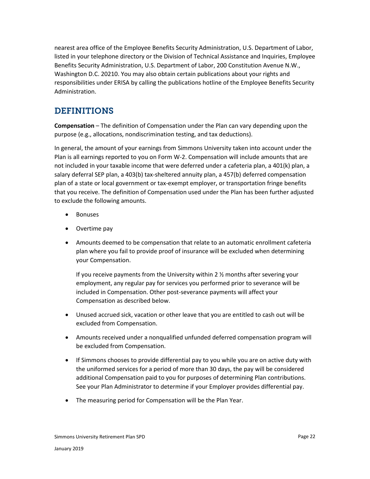nearest area office of the Employee Benefits Security Administration, U.S. Department of Labor, listed in your telephone directory or the Division of Technical Assistance and Inquiries, Employee Benefits Security Administration, U.S. Department of Labor, 200 Constitution Avenue N.W., Washington D.C. 20210. You may also obtain certain publications about your rights and responsibilities under ERISA by calling the publications hotline of the Employee Benefits Security Administration.

# <span id="page-22-0"></span>DEFINITIONS

**Compensation** – The definition of Compensation under the Plan can vary depending upon the purpose (e.g., allocations, nondiscrimination testing, and tax deductions).

In general, the amount of your earnings from Simmons University taken into account under the Plan is all earnings reported to you on Form W-2. Compensation will include amounts that are not included in your taxable income that were deferred under a cafeteria plan, a 401(k) plan, a salary deferral SEP plan, a 403(b) tax-sheltered annuity plan, a 457(b) deferred compensation plan of a state or local government or tax-exempt employer, or transportation fringe benefits that you receive. The definition of Compensation used under the Plan has been further adjusted to exclude the following amounts.

- Bonuses
- Overtime pay
- Amounts deemed to be compensation that relate to an automatic enrollment cafeteria plan where you fail to provide proof of insurance will be excluded when determining your Compensation.

If you receive payments from the University within 2 ½ months after severing your employment, any regular pay for services you performed prior to severance will be included in Compensation. Other post-severance payments will affect your Compensation as described below.

- Unused accrued sick, vacation or other leave that you are entitled to cash out will be excluded from Compensation.
- Amounts received under a nonqualified unfunded deferred compensation program will be excluded from Compensation.
- If Simmons chooses to provide differential pay to you while you are on active duty with the uniformed services for a period of more than 30 days, the pay will be considered additional Compensation paid to you for purposes of determining Plan contributions. See your Plan Administrator to determine if your Employer provides differential pay.
- The measuring period for Compensation will be the Plan Year.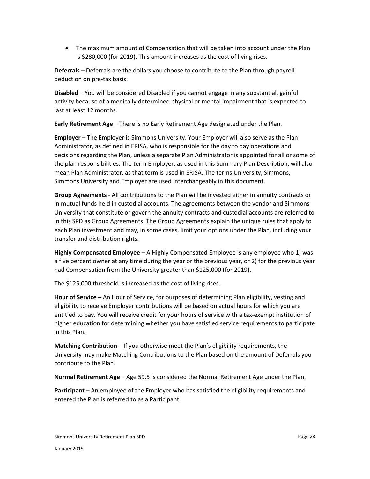The maximum amount of Compensation that will be taken into account under the Plan is \$280,000 (for 2019). This amount increases as the cost of living rises.

**Deferrals** – Deferrals are the dollars you choose to contribute to the Plan through payroll deduction on pre-tax basis.

**Disabled** – You will be considered Disabled if you cannot engage in any substantial, gainful activity because of a medically determined physical or mental impairment that is expected to last at least 12 months.

**Early Retirement Age** – There is no Early Retirement Age designated under the Plan.

**Employer** – The Employer is Simmons University. Your Employer will also serve as the Plan Administrator, as defined in ERISA, who is responsible for the day to day operations and decisions regarding the Plan, unless a separate Plan Administrator is appointed for all or some of the plan responsibilities. The term Employer, as used in this Summary Plan Description, will also mean Plan Administrator, as that term is used in ERISA. The terms University, Simmons, Simmons University and Employer are used interchangeably in this document.

**Group Agreements** - All contributions to the Plan will be invested either in annuity contracts or in mutual funds held in custodial accounts. The agreements between the vendor and Simmons University that constitute or govern the annuity contracts and custodial accounts are referred to in this SPD as Group Agreements. The Group Agreements explain the unique rules that apply to each Plan investment and may, in some cases, limit your options under the Plan, including your transfer and distribution rights.

**Highly Compensated Employee** – A Highly Compensated Employee is any employee who 1) was a five percent owner at any time during the year or the previous year, or 2) for the previous year had Compensation from the University greater than \$125,000 (for 2019).

The \$125,000 threshold is increased as the cost of living rises.

**Hour of Service** – An Hour of Service, for purposes of determining Plan eligibility, vesting and eligibility to receive Employer contributions will be based on actual hours for which you are entitled to pay. You will receive credit for your hours of service with a tax-exempt institution of higher education for determining whether you have satisfied service requirements to participate in this Plan.

**Matching Contribution** – If you otherwise meet the Plan's eligibility requirements, the University may make Matching Contributions to the Plan based on the amount of Deferrals you contribute to the Plan.

**Normal Retirement Age** – Age 59.5 is considered the Normal Retirement Age under the Plan.

**Participant** – An employee of the Employer who has satisfied the eligibility requirements and entered the Plan is referred to as a Participant.